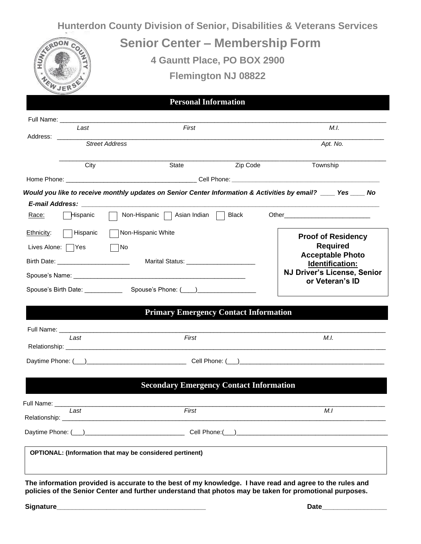| Relationship:                                    |                                                                                                                                       |                                                                                                                                                                                                                                                                                |          |                                                                                                                                                                                                                                |                 |  |
|--------------------------------------------------|---------------------------------------------------------------------------------------------------------------------------------------|--------------------------------------------------------------------------------------------------------------------------------------------------------------------------------------------------------------------------------------------------------------------------------|----------|--------------------------------------------------------------------------------------------------------------------------------------------------------------------------------------------------------------------------------|-----------------|--|
|                                                  |                                                                                                                                       |                                                                                                                                                                                                                                                                                |          |                                                                                                                                                                                                                                |                 |  |
|                                                  | Last<br>First                                                                                                                         |                                                                                                                                                                                                                                                                                |          |                                                                                                                                                                                                                                | M.I             |  |
|                                                  |                                                                                                                                       | <b>Secondary Emergency Contact Information</b><br>Full Name: Name and Second Contract and Second Contract of the Contract of the Contract of the Contract of the                                                                                                               |          |                                                                                                                                                                                                                                |                 |  |
|                                                  |                                                                                                                                       |                                                                                                                                                                                                                                                                                |          |                                                                                                                                                                                                                                |                 |  |
|                                                  |                                                                                                                                       | Relationship: experience and a series of the series of the series of the series of the series of the series of                                                                                                                                                                 |          |                                                                                                                                                                                                                                |                 |  |
|                                                  | l ast                                                                                                                                 |                                                                                                                                                                                                                                                                                | M.I.     |                                                                                                                                                                                                                                |                 |  |
|                                                  |                                                                                                                                       | <b>Primary Emergency Contact Information</b><br>Full Name: Name: Name: Name: Name: Name: Name: Name: Name: Name: Name: Name: Name: Name: Name: Name: Name: Name: Name: Name: Name: Name: Name: Name: Name: Name: Name: Name: Name: Name: Name: Name: Name: Name: Name: Name: N |          |                                                                                                                                                                                                                                |                 |  |
|                                                  |                                                                                                                                       | Spouse's Birth Date: Spouse's Phone: (Completed: Spouse's Phone: (Completed: Spouse's Phone: (Completed: Spouse Spouse Spouse Spouse Spouse Spouse Spouse Spouse Spouse Spouse Spouse Spouse Spouse Spouse Spouse Spouse Spous                                                 |          |                                                                                                                                                                                                                                | or Veteran's ID |  |
|                                                  |                                                                                                                                       |                                                                                                                                                                                                                                                                                |          | Identification:<br><b>NJ Driver's License, Senior</b>                                                                                                                                                                          |                 |  |
| Lives Alone: Yes No                              |                                                                                                                                       |                                                                                                                                                                                                                                                                                |          | <b>Required</b><br><b>Acceptable Photo</b>                                                                                                                                                                                     |                 |  |
| Ethnicity: $\Box$ Hispanic<br>Non-Hispanic White |                                                                                                                                       |                                                                                                                                                                                                                                                                                |          | <b>Proof of Residency</b>                                                                                                                                                                                                      |                 |  |
| Race:                                            | Hispanic                                                                                                                              | Non-Hispanic   Asian Indian   Black                                                                                                                                                                                                                                            |          | Other the contract of the contract of the contract of the contract of the contract of the contract of the contract of the contract of the contract of the contract of the contract of the contract of the contract of the cont |                 |  |
|                                                  |                                                                                                                                       |                                                                                                                                                                                                                                                                                |          |                                                                                                                                                                                                                                |                 |  |
|                                                  |                                                                                                                                       | Would you like to receive monthly updates on Senior Center Information & Activities by email? ____ Yes ____ No                                                                                                                                                                 |          |                                                                                                                                                                                                                                |                 |  |
|                                                  |                                                                                                                                       |                                                                                                                                                                                                                                                                                |          |                                                                                                                                                                                                                                |                 |  |
|                                                  | City                                                                                                                                  | State                                                                                                                                                                                                                                                                          | Zip Code | Township                                                                                                                                                                                                                       |                 |  |
|                                                  | Address: _________<br>Street Address                                                                                                  |                                                                                                                                                                                                                                                                                |          | Apt. No.                                                                                                                                                                                                                       |                 |  |
|                                                  | Full Name: Name: Name and South Assembly and South Assembly and South Assembly and South Assembly and South Assembly<br>Last<br>First |                                                                                                                                                                                                                                                                                |          | M.I.                                                                                                                                                                                                                           |                 |  |
|                                                  |                                                                                                                                       | <b>Personal Information</b>                                                                                                                                                                                                                                                    |          |                                                                                                                                                                                                                                |                 |  |
|                                                  | WJER <sup>S</sup>                                                                                                                     |                                                                                                                                                                                                                                                                                |          |                                                                                                                                                                                                                                |                 |  |
|                                                  | <b>Flemington NJ 08822</b>                                                                                                            |                                                                                                                                                                                                                                                                                |          |                                                                                                                                                                                                                                |                 |  |
| <b>SERDON</b>                                    |                                                                                                                                       | 4 Gauntt Place, PO BOX 2900                                                                                                                                                                                                                                                    |          |                                                                                                                                                                                                                                |                 |  |
|                                                  |                                                                                                                                       | <b>Senior Center – Membership Form</b>                                                                                                                                                                                                                                         |          |                                                                                                                                                                                                                                |                 |  |
|                                                  |                                                                                                                                       |                                                                                                                                                                                                                                                                                |          |                                                                                                                                                                                                                                |                 |  |

 **Signature\_\_\_\_\_\_\_\_\_\_\_\_\_\_\_\_\_\_\_\_\_\_\_\_\_\_\_\_\_\_\_\_\_\_\_\_\_\_\_ Date\_\_\_\_\_\_\_\_\_\_\_\_\_\_\_\_\_**